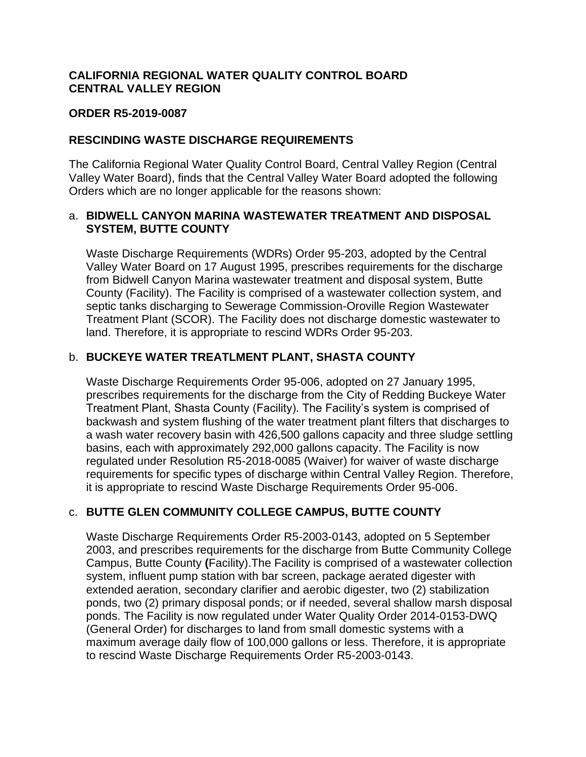## **CALIFORNIA REGIONAL WATER QUALITY CONTROL BOARD CENTRAL VALLEY REGION**

#### **ORDER R5-2019-0087**

### **RESCINDING WASTE DISCHARGE REQUIREMENTS**

The California Regional Water Quality Control Board, Central Valley Region (Central Valley Water Board), finds that the Central Valley Water Board adopted the following Orders which are no longer applicable for the reasons shown:

### a. **BIDWELL CANYON MARINA WASTEWATER TREATMENT AND DISPOSAL SYSTEM, BUTTE COUNTY**

Waste Discharge Requirements (WDRs) Order 95-203, adopted by the Central Valley Water Board on 17 August 1995, prescribes requirements for the discharge from Bidwell Canyon Marina wastewater treatment and disposal system, Butte County (Facility). The Facility is comprised of a wastewater collection system, and septic tanks discharging to Sewerage Commission-Oroville Region Wastewater Treatment Plant (SCOR). The Facility does not discharge domestic wastewater to land. Therefore, it is appropriate to rescind WDRs Order 95-203.

### b. **BUCKEYE WATER TREATLMENT PLANT, SHASTA COUNTY**

Waste Discharge Requirements Order 95-006, adopted on 27 January 1995, prescribes requirements for the discharge from the City of Redding Buckeye Water Treatment Plant, Shasta County (Facility). The Facility's system is comprised of backwash and system flushing of the water treatment plant filters that discharges to a wash water recovery basin with 426,500 gallons capacity and three sludge settling basins, each with approximately 292,000 gallons capacity. The Facility is now regulated under Resolution R5-2018-0085 (Waiver) for waiver of waste discharge requirements for specific types of discharge within Central Valley Region. Therefore, it is appropriate to rescind Waste Discharge Requirements Order 95-006.

# c. **BUTTE GLEN COMMUNITY COLLEGE CAMPUS, BUTTE COUNTY**

Waste Discharge Requirements Order R5-2003-0143, adopted on 5 September 2003, and prescribes requirements for the discharge from Butte Community College Campus, Butte County **(**Facility).The Facility is comprised of a wastewater collection system, influent pump station with bar screen, package aerated digester with extended aeration, secondary clarifier and aerobic digester, two (2) stabilization ponds, two (2) primary disposal ponds; or if needed, several shallow marsh disposal ponds. The Facility is now regulated under Water Quality Order 2014-0153-DWQ (General Order) for discharges to land from small domestic systems with a maximum average daily flow of 100,000 gallons or less. Therefore, it is appropriate to rescind Waste Discharge Requirements Order R5-2003-0143.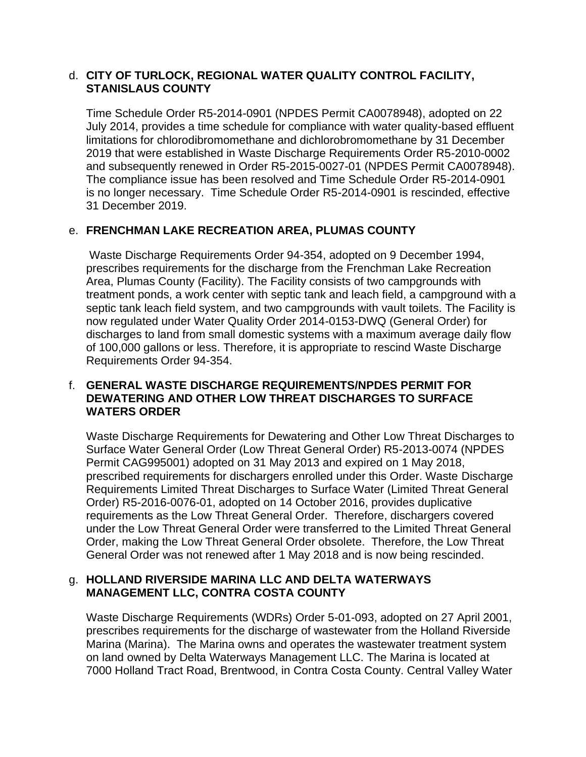### d. **CITY OF TURLOCK, REGIONAL WATER QUALITY CONTROL FACILITY, STANISLAUS COUNTY**

Time Schedule Order R5-2014-0901 (NPDES Permit CA0078948), adopted on 22 July 2014, provides a time schedule for compliance with water quality-based effluent limitations for chlorodibromomethane and dichlorobromomethane by 31 December 2019 that were established in Waste Discharge Requirements Order R5-2010-0002 and subsequently renewed in Order R5-2015-0027-01 (NPDES Permit CA0078948). The compliance issue has been resolved and Time Schedule Order R5-2014-0901 is no longer necessary. Time Schedule Order R5-2014-0901 is rescinded, effective 31 December 2019.

# e. **FRENCHMAN LAKE RECREATION AREA, PLUMAS COUNTY**

Waste Discharge Requirements Order 94-354, adopted on 9 December 1994, prescribes requirements for the discharge from the Frenchman Lake Recreation Area, Plumas County (Facility). The Facility consists of two campgrounds with treatment ponds, a work center with septic tank and leach field, a campground with a septic tank leach field system, and two campgrounds with vault toilets. The Facility is now regulated under Water Quality Order 2014-0153-DWQ (General Order) for discharges to land from small domestic systems with a maximum average daily flow of 100,000 gallons or less. Therefore, it is appropriate to rescind Waste Discharge Requirements Order 94-354.

## f. **GENERAL WASTE DISCHARGE REQUIREMENTS/NPDES PERMIT FOR DEWATERING AND OTHER LOW THREAT DISCHARGES TO SURFACE WATERS ORDER**

Waste Discharge Requirements for Dewatering and Other Low Threat Discharges to Surface Water General Order (Low Threat General Order) R5-2013-0074 (NPDES Permit CAG995001) adopted on 31 May 2013 and expired on 1 May 2018, prescribed requirements for dischargers enrolled under this Order. Waste Discharge Requirements Limited Threat Discharges to Surface Water (Limited Threat General Order) R5-2016-0076-01, adopted on 14 October 2016, provides duplicative requirements as the Low Threat General Order. Therefore, dischargers covered under the Low Threat General Order were transferred to the Limited Threat General Order, making the Low Threat General Order obsolete. Therefore, the Low Threat General Order was not renewed after 1 May 2018 and is now being rescinded.

## g. **HOLLAND RIVERSIDE MARINA LLC AND DELTA WATERWAYS MANAGEMENT LLC, CONTRA COSTA COUNTY**

Waste Discharge Requirements (WDRs) Order 5-01-093, adopted on 27 April 2001, prescribes requirements for the discharge of wastewater from the Holland Riverside Marina (Marina). The Marina owns and operates the wastewater treatment system on land owned by Delta Waterways Management LLC. The Marina is located at 7000 Holland Tract Road, Brentwood, in Contra Costa County. Central Valley Water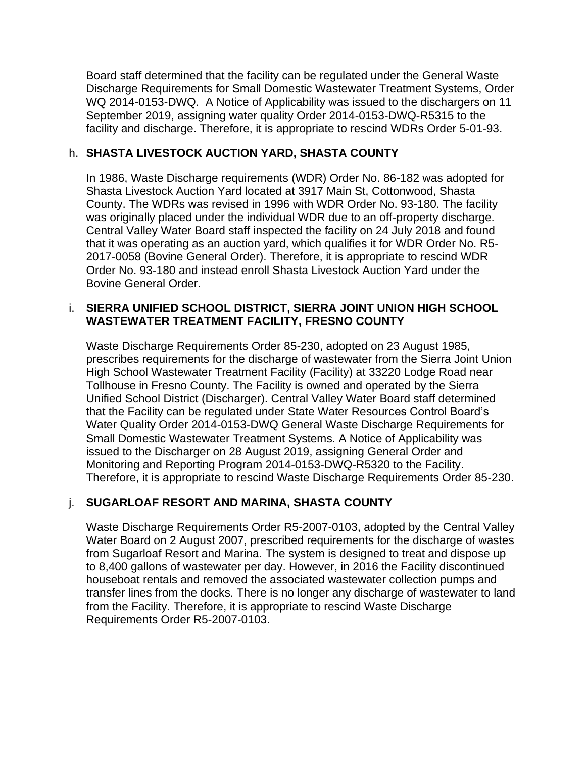Board staff determined that the facility can be regulated under the General Waste Discharge Requirements for Small Domestic Wastewater Treatment Systems, Order WQ 2014-0153-DWQ. A Notice of Applicability was issued to the dischargers on 11 September 2019, assigning water quality Order 2014-0153-DWQ-R5315 to the facility and discharge. Therefore, it is appropriate to rescind WDRs Order 5-01-93.

## h. **SHASTA LIVESTOCK AUCTION YARD, SHASTA COUNTY**

In 1986, Waste Discharge requirements (WDR) Order No. 86-182 was adopted for Shasta Livestock Auction Yard located at 3917 Main St, Cottonwood, Shasta County. The WDRs was revised in 1996 with WDR Order No. 93-180. The facility was originally placed under the individual WDR due to an off-property discharge. Central Valley Water Board staff inspected the facility on 24 July 2018 and found that it was operating as an auction yard, which qualifies it for WDR Order No. R5- 2017-0058 (Bovine General Order). Therefore, it is appropriate to rescind WDR Order No. 93-180 and instead enroll Shasta Livestock Auction Yard under the Bovine General Order.

## i. **SIERRA UNIFIED SCHOOL DISTRICT, SIERRA JOINT UNION HIGH SCHOOL WASTEWATER TREATMENT FACILITY, FRESNO COUNTY**

Waste Discharge Requirements Order 85-230, adopted on 23 August 1985, prescribes requirements for the discharge of wastewater from the Sierra Joint Union High School Wastewater Treatment Facility (Facility) at 33220 Lodge Road near Tollhouse in Fresno County. The Facility is owned and operated by the Sierra Unified School District (Discharger). Central Valley Water Board staff determined that the Facility can be regulated under State Water Resources Control Board's Water Quality Order 2014-0153-DWQ General Waste Discharge Requirements for Small Domestic Wastewater Treatment Systems. A Notice of Applicability was issued to the Discharger on 28 August 2019, assigning General Order and Monitoring and Reporting Program 2014-0153-DWQ-R5320 to the Facility. Therefore, it is appropriate to rescind Waste Discharge Requirements Order 85-230.

# j. **SUGARLOAF RESORT AND MARINA, SHASTA COUNTY**

Waste Discharge Requirements Order R5-2007-0103, adopted by the Central Valley Water Board on 2 August 2007, prescribed requirements for the discharge of wastes from Sugarloaf Resort and Marina. The system is designed to treat and dispose up to 8,400 gallons of wastewater per day. However, in 2016 the Facility discontinued houseboat rentals and removed the associated wastewater collection pumps and transfer lines from the docks. There is no longer any discharge of wastewater to land from the Facility. Therefore, it is appropriate to rescind Waste Discharge Requirements Order R5-2007-0103.